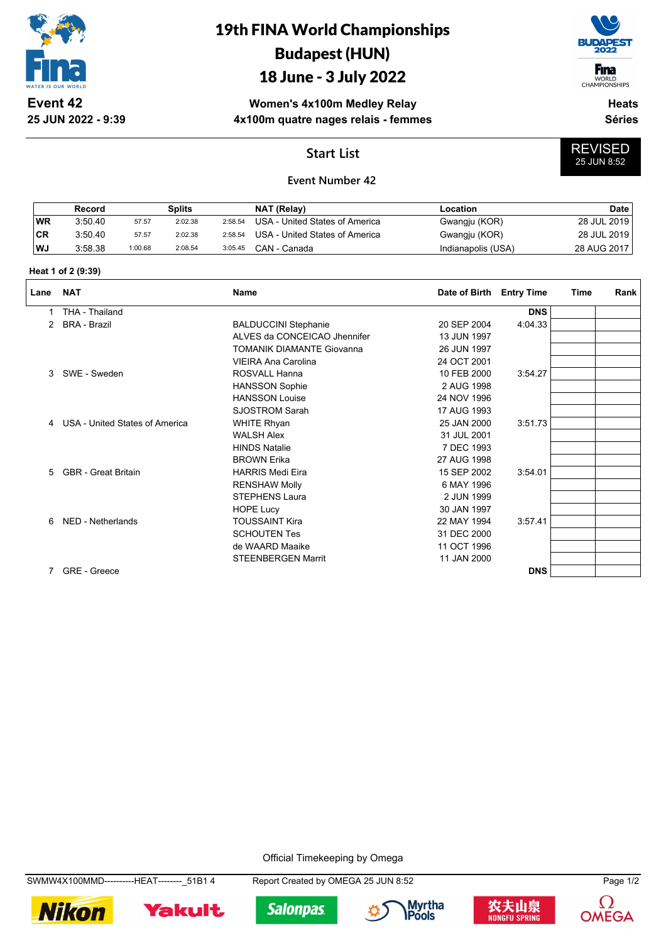

**25 JUN 2022 - 9:39**

# 19th FINA World Championships Budapest (HUN)

## 18 June - 3 July 2022

**F**ina

WORLD<br>CHAMPIONSHIPS

REVISED 25 JUN 8:52

**Women's 4x100m Medley Relay 4x100m quatre nages relais - femmes**

**Heats Séries**

## **Start List**

### **Event Number 42**

|           | Record  |         | Splits  |         | NAT (Relay)                    | Location           | Date        |
|-----------|---------|---------|---------|---------|--------------------------------|--------------------|-------------|
| WR        | 3:50.40 | 57.57   | 2:02.38 | 2:58.54 | USA - United States of America | Gwangju (KOR)      | 28 JUL 2019 |
| <b>CR</b> | 3:50.40 | 57.57   | 2:02.38 | 2:58.54 | USA - United States of America | Gwangju (KOR)      | 28 JUL 2019 |
| WJ        | 3:58.38 | 1:00.68 | 2:08.54 | 3:05.45 | CAN - Canada                   | Indianapolis (USA) | 28 AUG 2017 |

#### **Heat 1 of 2 (9:39)**

| Lane        | <b>NAT</b>                       | Name                             | Date of Birth | <b>Entry Time</b> | <b>Time</b> | Rank |
|-------------|----------------------------------|----------------------------------|---------------|-------------------|-------------|------|
|             | THA - Thailand                   |                                  |               | <b>DNS</b>        |             |      |
| 2           | <b>BRA - Brazil</b>              | <b>BALDUCCINI Stephanie</b>      | 20 SEP 2004   | 4:04.33           |             |      |
|             |                                  | ALVES da CONCEICAO Jhennifer     | 13 JUN 1997   |                   |             |      |
|             |                                  | <b>TOMANIK DIAMANTE Giovanna</b> | 26 JUN 1997   |                   |             |      |
|             |                                  | <b>VIEIRA Ana Carolina</b>       | 24 OCT 2001   |                   |             |      |
| 3           | SWE - Sweden                     | ROSVALL Hanna                    | 10 FEB 2000   | 3:54.27           |             |      |
|             |                                  | <b>HANSSON Sophie</b>            | 2 AUG 1998    |                   |             |      |
|             |                                  | <b>HANSSON Louise</b>            | 24 NOV 1996   |                   |             |      |
|             |                                  | <b>SJOSTROM Sarah</b>            | 17 AUG 1993   |                   |             |      |
|             | 4 USA - United States of America | <b>WHITE Rhyan</b>               | 25 JAN 2000   | 3:51.73           |             |      |
|             |                                  | <b>WALSH Alex</b>                | 31 JUL 2001   |                   |             |      |
|             |                                  | <b>HINDS Natalie</b>             | 7 DEC 1993    |                   |             |      |
|             |                                  | <b>BROWN Erika</b>               | 27 AUG 1998   |                   |             |      |
| $5^{\circ}$ | <b>GBR</b> - Great Britain       | <b>HARRIS Medi Eira</b>          | 15 SEP 2002   | 3:54.01           |             |      |
|             |                                  | <b>RENSHAW Molly</b>             | 6 MAY 1996    |                   |             |      |
|             |                                  | <b>STEPHENS Laura</b>            | 2 JUN 1999    |                   |             |      |
|             |                                  | <b>HOPE Lucy</b>                 | 30 JAN 1997   |                   |             |      |
| 6           | NED - Netherlands                | <b>TOUSSAINT Kira</b>            | 22 MAY 1994   | 3:57.41           |             |      |
|             |                                  | <b>SCHOUTEN Tes</b>              | 31 DEC 2000   |                   |             |      |
|             |                                  | de WAARD Maaike                  | 11 OCT 1996   |                   |             |      |
|             |                                  | <b>STEENBERGEN Marrit</b>        | 11 JAN 2000   |                   |             |      |
| 7           | <b>GRE</b> - Greece              |                                  |               | <b>DNS</b>        |             |      |

#### Official Timekeeping by Omega

SWMW4X100MMD----------HEAT--------\_51B1 4 Report Created by OMEGA 25 JUN 8:52 Page 1/2

**Nikon** 

Yakult